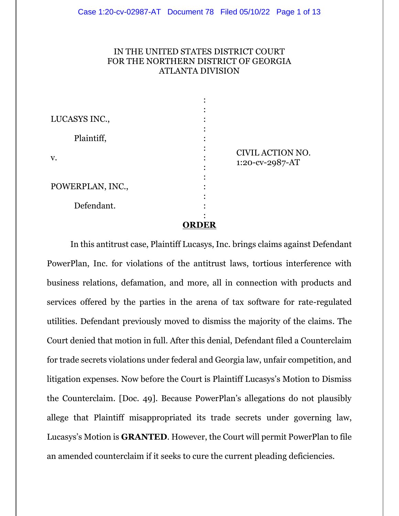# IN THE UNITED STATES DISTRICT COURT FOR THE NORTHERN DISTRICT OF GEORGIA ATLANTA DIVISION

| LUCASYS INC.,<br>Plaintiff, |              |                                     |
|-----------------------------|--------------|-------------------------------------|
| V.                          |              | CIVIL ACTION NO.<br>1:20-cv-2987-AT |
| POWERPLAN, INC.,            |              |                                     |
| Defendant.                  |              |                                     |
|                             | <b>ORDER</b> |                                     |

In this antitrust case, Plaintiff Lucasys, Inc. brings claims against Defendant PowerPlan, Inc. for violations of the antitrust laws, tortious interference with business relations, defamation, and more, all in connection with products and services offered by the parties in the arena of tax software for rate-regulated utilities. Defendant previously moved to dismiss the majority of the claims. The Court denied that motion in full. After this denial, Defendant filed a Counterclaim for trade secrets violations under federal and Georgia law, unfair competition, and litigation expenses. Now before the Court is Plaintiff Lucasys's Motion to Dismiss the Counterclaim. [Doc. 49]. Because PowerPlan's allegations do not plausibly allege that Plaintiff misappropriated its trade secrets under governing law, Lucasys's Motion is **GRANTED**. However, the Court will permit PowerPlan to file an amended counterclaim if it seeks to cure the current pleading deficiencies.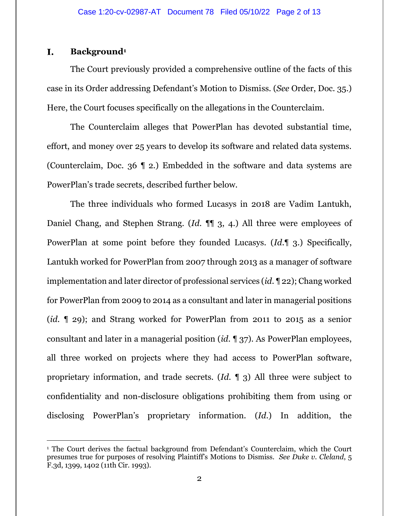### I. **Background<sup>1</sup>**

The Court previously provided a comprehensive outline of the facts of this case in its Order addressing Defendant's Motion to Dismiss. (*See* Order, Doc. 35.) Here, the Court focuses specifically on the allegations in the Counterclaim.

The Counterclaim alleges that PowerPlan has devoted substantial time, effort, and money over 25 years to develop its software and related data systems. (Counterclaim, Doc. 36 ¶ 2.) Embedded in the software and data systems are PowerPlan's trade secrets, described further below.

The three individuals who formed Lucasys in 2018 are Vadim Lantukh, Daniel Chang, and Stephen Strang. (*Id*. ¶¶ 3, 4.) All three were employees of PowerPlan at some point before they founded Lucasys. (*Id*.¶ 3.) Specifically, Lantukh worked for PowerPlan from 2007 through 2013 as a manager of software implementation and later director of professional services (*id*. ¶ 22); Chang worked for PowerPlan from 2009 to 2014 as a consultant and later in managerial positions (*id*. ¶ 29); and Strang worked for PowerPlan from 2011 to 2015 as a senior consultant and later in a managerial position (*id*. ¶ 37). As PowerPlan employees, all three worked on projects where they had access to PowerPlan software, proprietary information, and trade secrets. (*Id*. ¶ 3) All three were subject to confidentiality and non-disclosure obligations prohibiting them from using or disclosing PowerPlan's proprietary information. (*Id*.) In addition, the

<sup>1</sup> The Court derives the factual background from Defendant's Counterclaim, which the Court presumes true for purposes of resolving Plaintiff's Motions to Dismiss. *See Duke v. Cleland*, 5 F.3d, 1399, 1402 (11th Cir. 1993).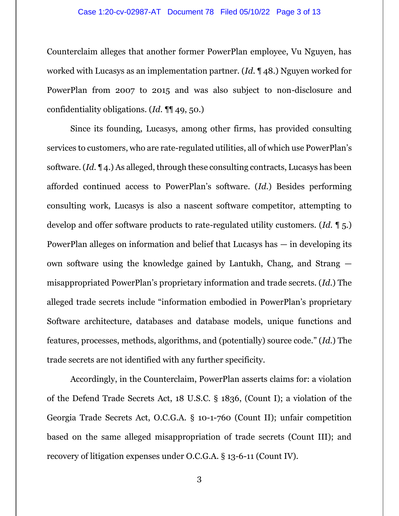## Case 1:20-cv-02987-AT Document 78 Filed 05/10/22 Page 3 of 13

Counterclaim alleges that another former PowerPlan employee, Vu Nguyen, has worked with Lucasys as an implementation partner. (*Id*. ¶ 48.) Nguyen worked for PowerPlan from 2007 to 2015 and was also subject to non-disclosure and confidentiality obligations. (*Id*. ¶¶ 49, 50.)

Since its founding, Lucasys, among other firms, has provided consulting services to customers, who are rate-regulated utilities, all of which use PowerPlan's software. (*Id*. ¶ 4.) As alleged, through these consulting contracts, Lucasys has been afforded continued access to PowerPlan's software. (*Id*.) Besides performing consulting work, Lucasys is also a nascent software competitor, attempting to develop and offer software products to rate-regulated utility customers. (*Id*. ¶ 5.) PowerPlan alleges on information and belief that Lucasys has — in developing its own software using the knowledge gained by Lantukh, Chang, and Strang misappropriated PowerPlan's proprietary information and trade secrets. (*Id*.) The alleged trade secrets include "information embodied in PowerPlan's proprietary Software architecture, databases and database models, unique functions and features, processes, methods, algorithms, and (potentially) source code." (*Id*.) The trade secrets are not identified with any further specificity.

Accordingly, in the Counterclaim, PowerPlan asserts claims for: a violation of the Defend Trade Secrets Act, 18 U.S.C. § 1836, (Count I); a violation of the Georgia Trade Secrets Act, O.C.G.A. § 10-1-760 (Count II); unfair competition based on the same alleged misappropriation of trade secrets (Count III); and recovery of litigation expenses under O.C.G.A. § 13-6-11 (Count IV).

3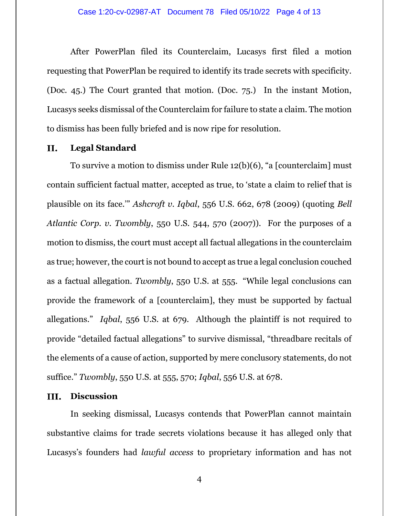After PowerPlan filed its Counterclaim, Lucasys first filed a motion requesting that PowerPlan be required to identify its trade secrets with specificity. (Doc. 45.) The Court granted that motion. (Doc. 75.) In the instant Motion, Lucasys seeks dismissal of the Counterclaim for failure to state a claim. The motion to dismiss has been fully briefed and is now ripe for resolution.

#### II. **Legal Standard**

To survive a motion to dismiss under Rule 12(b)(6), "a [counterclaim] must contain sufficient factual matter, accepted as true, to 'state a claim to relief that is plausible on its face.'" *Ashcroft v. Iqbal*, 556 U.S. 662, 678 (2009) (quoting *Bell Atlantic Corp. v. Twombly*, 550 U.S. 544, 570 (2007)). For the purposes of a motion to dismiss, the court must accept all factual allegations in the counterclaim as true; however, the court is not bound to accept as true a legal conclusion couched as a factual allegation. *Twombly*, 550 U.S. at 555. "While legal conclusions can provide the framework of a [counterclaim], they must be supported by factual allegations." *Iqbal*, 556 U.S. at 679. Although the plaintiff is not required to provide "detailed factual allegations" to survive dismissal, "threadbare recitals of the elements of a cause of action, supported by mere conclusory statements, do not suffice." *Twombly*, 550 U.S. at 555, 570; *Iqbal*, 556 U.S. at 678.

#### **Discussion** III.

In seeking dismissal, Lucasys contends that PowerPlan cannot maintain substantive claims for trade secrets violations because it has alleged only that Lucasys's founders had *lawful access* to proprietary information and has not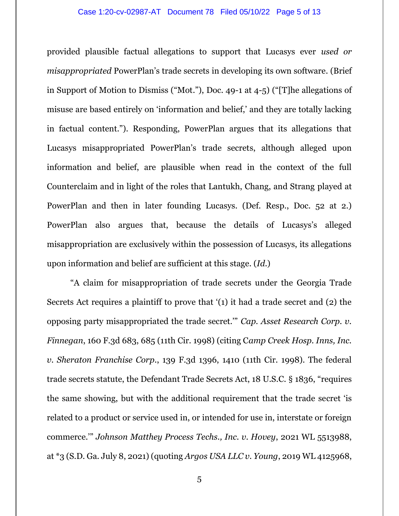### Case 1:20-cv-02987-AT Document 78 Filed 05/10/22 Page 5 of 13

provided plausible factual allegations to support that Lucasys ever *used or misappropriated* PowerPlan's trade secrets in developing its own software. (Brief in Support of Motion to Dismiss ("Mot."), Doc. 49-1 at 4-5) ("[T]he allegations of misuse are based entirely on 'information and belief,' and they are totally lacking in factual content."). Responding, PowerPlan argues that its allegations that Lucasys misappropriated PowerPlan's trade secrets, although alleged upon information and belief, are plausible when read in the context of the full Counterclaim and in light of the roles that Lantukh, Chang, and Strang played at PowerPlan and then in later founding Lucasys. (Def. Resp., Doc. 52 at 2.) PowerPlan also argues that, because the details of Lucasys's alleged misappropriation are exclusively within the possession of Lucasys, its allegations upon information and belief are sufficient at this stage. (*Id*.)

"A claim for misappropriation of trade secrets under the Georgia Trade Secrets Act requires a plaintiff to prove that '(1) it had a trade secret and (2) the opposing party misappropriated the trade secret.'" *Cap. Asset Research Corp. v. Finnegan*, 160 F.3d 683, 685 (11th Cir. 1998) (citing C*amp Creek Hosp. Inns, Inc. v. Sheraton Franchise Corp*., 139 F.3d 1396, 1410 (11th Cir. 1998). The federal trade secrets statute, the Defendant Trade Secrets Act, 18 U.S.C. § 1836, "requires the same showing, but with the additional requirement that the trade secret 'is related to a product or service used in, or intended for use in, interstate or foreign commerce.'" *Johnson Matthey Process Techs., Inc. v. Hovey*, 2021 WL 5513988, at \*3 (S.D. Ga. July 8, 2021) (quoting *Argos USA LLC v. Young*, 2019 WL 4125968,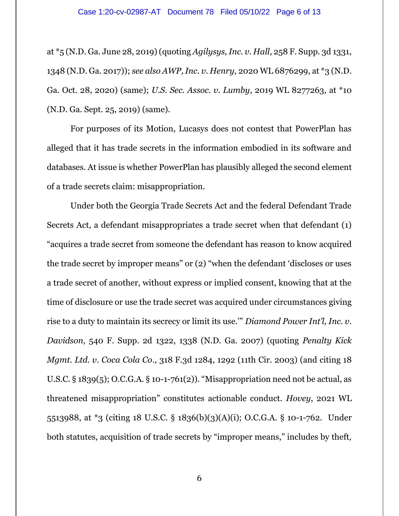at \*5 (N.D. Ga. June 28, 2019) (quoting *Agilysys, Inc. v. Hall*, 258 F. Supp. 3d 1331, 1348 (N.D. Ga. 2017)); *see also AWP, Inc. v. Henry*, 2020 WL 6876299, at \*3 (N.D. Ga. Oct. 28, 2020) (same); *U.S. Sec. Assoc. v. Lumby*, 2019 WL 8277263, at \*10 (N.D. Ga. Sept. 25, 2019) (same).

For purposes of its Motion, Lucasys does not contest that PowerPlan has alleged that it has trade secrets in the information embodied in its software and databases. At issue is whether PowerPlan has plausibly alleged the second element of a trade secrets claim: misappropriation.

Under both the Georgia Trade Secrets Act and the federal Defendant Trade Secrets Act, a defendant misappropriates a trade secret when that defendant (1) "acquires a trade secret from someone the defendant has reason to know acquired the trade secret by improper means" or (2) "when the defendant 'discloses or uses a trade secret of another, without express or implied consent, knowing that at the time of disclosure or use the trade secret was acquired under circumstances giving rise to a duty to maintain its secrecy or limit its use.'" *Diamond Power Int'l, Inc. v. Davidson*, 540 F. Supp. 2d 1322, 1338 (N.D. Ga. 2007) (quoting *Penalty Kick Mgmt. Ltd. v. Coca Cola Co*., 318 F.3d 1284, 1292 (11th Cir. 2003) (and citing 18 U.S.C. § 1839(5); O.C.G.A. § 10-1-761(2)). "Misappropriation need not be actual, as threatened misappropriation" constitutes actionable conduct. *Hovey*, 2021 WL 5513988, at \*3 (citing 18 U.S.C. § 1836(b)(3)(A)(i); O.C.G.A. § 10-1-762. Under both statutes, acquisition of trade secrets by "improper means," includes by theft,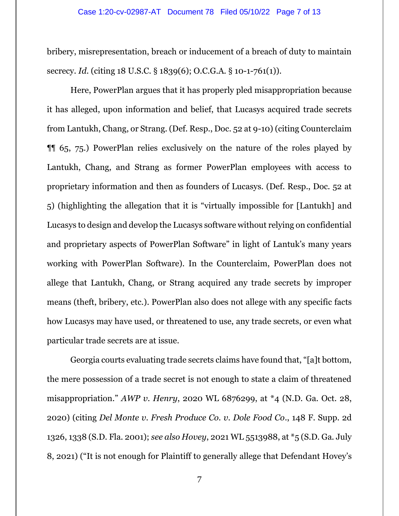bribery, misrepresentation, breach or inducement of a breach of duty to maintain secrecy. *Id*. (citing 18 U.S.C. § 1839(6); O.C.G.A. § 10-1-761(1)).

Here, PowerPlan argues that it has properly pled misappropriation because it has alleged, upon information and belief, that Lucasys acquired trade secrets from Lantukh, Chang, or Strang. (Def. Resp., Doc. 52 at 9-10) (citing Counterclaim ¶¶ 65, 75.) PowerPlan relies exclusively on the nature of the roles played by Lantukh, Chang, and Strang as former PowerPlan employees with access to proprietary information and then as founders of Lucasys. (Def. Resp., Doc. 52 at 5) (highlighting the allegation that it is "virtually impossible for [Lantukh] and Lucasys to design and develop the Lucasys software without relying on confidential and proprietary aspects of PowerPlan Software" in light of Lantuk's many years working with PowerPlan Software). In the Counterclaim, PowerPlan does not allege that Lantukh, Chang, or Strang acquired any trade secrets by improper means (theft, bribery, etc.). PowerPlan also does not allege with any specific facts how Lucasys may have used, or threatened to use, any trade secrets, or even what particular trade secrets are at issue.

Georgia courts evaluating trade secrets claims have found that, "[a]t bottom, the mere possession of a trade secret is not enough to state a claim of threatened misappropriation." *AWP v. Henry*, 2020 WL 6876299, at \*4 (N.D. Ga. Oct. 28, 2020) (citing *Del Monte v. Fresh Produce Co. v. Dole Food Co*., 148 F. Supp. 2d 1326, 1338 (S.D. Fla. 2001); *see also Hovey*, 2021 WL 5513988, at \*5 (S.D. Ga. July 8, 2021) ("It is not enough for Plaintiff to generally allege that Defendant Hovey's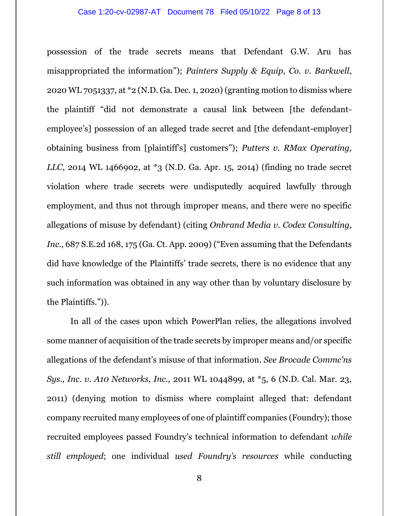### Case 1:20-cv-02987-AT Document 78 Filed 05/10/22 Page 8 of 13

possession of the trade secrets means that Defendant G.W. Aru has misappropriated the information"); *Painters Supply & Equip, Co. v. Barkwell*, 2020 WL 7051337, at \*2 (N.D. Ga. Dec. 1, 2020) (granting motion to dismiss where the plaintiff "did not demonstrate a causal link between [the defendantemployee's] possession of an alleged trade secret and [the defendant-employer] obtaining business from [plaintiff's] customers"); *Putters v. RMax Operating, LLC*, 2014 WL 1466902, at \*3 (N.D. Ga. Apr. 15, 2014) (finding no trade secret violation where trade secrets were undisputedly acquired lawfully through employment, and thus not through improper means, and there were no specific allegations of misuse by defendant) (citing *Onbrand Media v. Codex Consulting, Inc*., 687 S.E.2d 168, 175 (Ga. Ct. App. 2009) ("Even assuming that the Defendants did have knowledge of the Plaintiffs' trade secrets, there is no evidence that any such information was obtained in any way other than by voluntary disclosure by the Plaintiffs.")).

In all of the cases upon which PowerPlan relies, the allegations involved some manner of acquisition of the trade secrets by improper means and/or specific allegations of the defendant's misuse of that information. *See Brocade Commc'ns Sys., Inc. v. A10 Networks, Inc.,* 2011 WL 1044899, at \*5, 6 (N.D. Cal. Mar. 23, 2011) (denying motion to dismiss where complaint alleged that: defendant company recruited many employees of one of plaintiff companies (Foundry); those recruited employees passed Foundry's technical information to defendant *while still employed*; one individual *used Foundry's resources* while conducting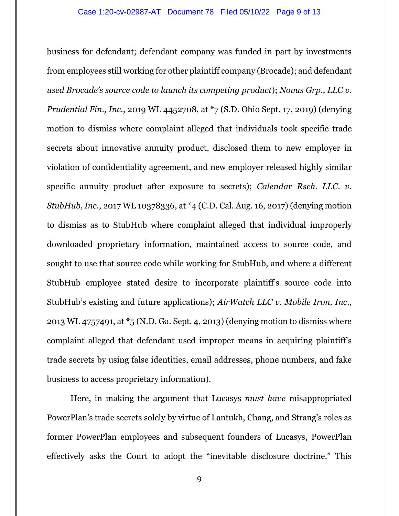business for defendant; defendant company was funded in part by investments from employees still working for other plaintiff company (Brocade); and defendant *used Brocade's source code to launch its competing product*); *Novus Grp., LLC v. Prudential Fin., Inc.*, 2019 WL 4452708, at \*7 (S.D. Ohio Sept. 17, 2019) (denying motion to dismiss where complaint alleged that individuals took specific trade secrets about innovative annuity product, disclosed them to new employer in violation of confidentiality agreement, and new employer released highly similar specific annuity product after exposure to secrets); *Calendar Rsch. LLC*. *v. StubHub, Inc.*, 2017 WL 10378336, at \*4 (C.D. Cal. Aug. 16, 2017) (denying motion to dismiss as to StubHub where complaint alleged that individual improperly downloaded proprietary information, maintained access to source code, and sought to use that source code while working for StubHub, and where a different StubHub employee stated desire to incorporate plaintiff's source code into StubHub's existing and future applications); *AirWatch LLC v. Mobile Iron, Inc.,*  2013 WL 4757491, at \*5 (N.D. Ga. Sept. 4, 2013) (denying motion to dismiss where complaint alleged that defendant used improper means in acquiring plaintiff's trade secrets by using false identities, email addresses, phone numbers, and fake business to access proprietary information).

Here, in making the argument that Lucasys *must have* misappropriated PowerPlan's trade secrets solely by virtue of Lantukh, Chang, and Strang's roles as former PowerPlan employees and subsequent founders of Lucasys, PowerPlan effectively asks the Court to adopt the "inevitable disclosure doctrine." This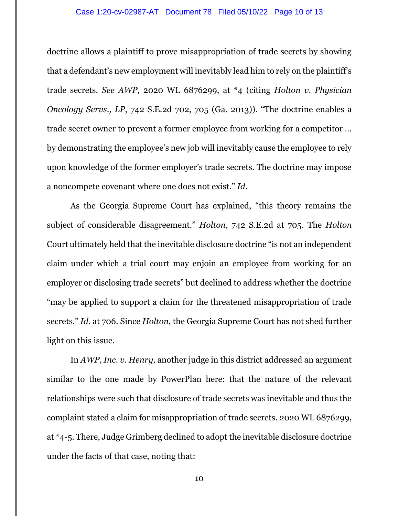## Case 1:20-cv-02987-AT Document 78 Filed 05/10/22 Page 10 of 13

doctrine allows a plaintiff to prove misappropriation of trade secrets by showing that a defendant's new employment will inevitably lead him to rely on the plaintiff's trade secrets. *See AWP*, 2020 WL 6876299, at \*4 (citing *Holton v. Physician Oncology Servs., LP*, 742 S.E.2d 702, 705 (Ga. 2013)). "The doctrine enables a trade secret owner to prevent a former employee from working for a competitor … by demonstrating the employee's new job will inevitably cause the employee to rely upon knowledge of the former employer's trade secrets. The doctrine may impose a noncompete covenant where one does not exist." *Id*.

As the Georgia Supreme Court has explained, "this theory remains the subject of considerable disagreement." *Holton*, 742 S.E.2d at 705. The *Holton* Court ultimately held that the inevitable disclosure doctrine "is not an independent claim under which a trial court may enjoin an employee from working for an employer or disclosing trade secrets" but declined to address whether the doctrine "may be applied to support a claim for the threatened misappropriation of trade secrets." *Id*. at 706. Since *Holton*, the Georgia Supreme Court has not shed further light on this issue.

In *AWP, Inc. v. Henry,* another judge in this district addressed an argument similar to the one made by PowerPlan here: that the nature of the relevant relationships were such that disclosure of trade secrets was inevitable and thus the complaint stated a claim for misappropriation of trade secrets. 2020 WL 6876299, at \*4-5. There, Judge Grimberg declined to adopt the inevitable disclosure doctrine under the facts of that case, noting that:

10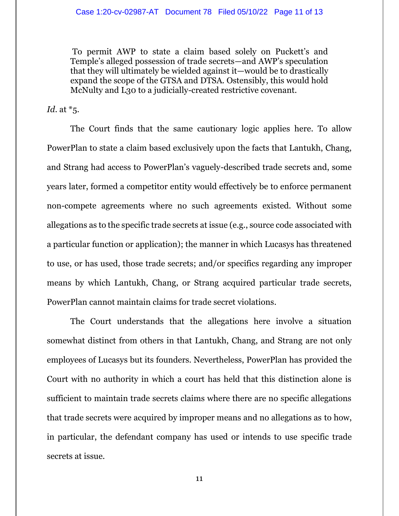To permit AWP to state a claim based solely on Puckett's and Temple's alleged possession of trade secrets—and AWP's speculation that they will ultimately be wielded against it—would be to drastically expand the scope of the GTSA and DTSA. Ostensibly, this would hold McNulty and L30 to a judicially-created restrictive covenant.

*Id*. at \*5.

The Court finds that the same cautionary logic applies here. To allow PowerPlan to state a claim based exclusively upon the facts that Lantukh, Chang, and Strang had access to PowerPlan's vaguely-described trade secrets and, some years later, formed a competitor entity would effectively be to enforce permanent non-compete agreements where no such agreements existed. Without some allegations as to the specific trade secrets at issue (e.g., source code associated with a particular function or application); the manner in which Lucasys has threatened to use, or has used, those trade secrets; and/or specifics regarding any improper means by which Lantukh, Chang, or Strang acquired particular trade secrets, PowerPlan cannot maintain claims for trade secret violations.

The Court understands that the allegations here involve a situation somewhat distinct from others in that Lantukh, Chang, and Strang are not only employees of Lucasys but its founders. Nevertheless, PowerPlan has provided the Court with no authority in which a court has held that this distinction alone is sufficient to maintain trade secrets claims where there are no specific allegations that trade secrets were acquired by improper means and no allegations as to how, in particular, the defendant company has used or intends to use specific trade secrets at issue.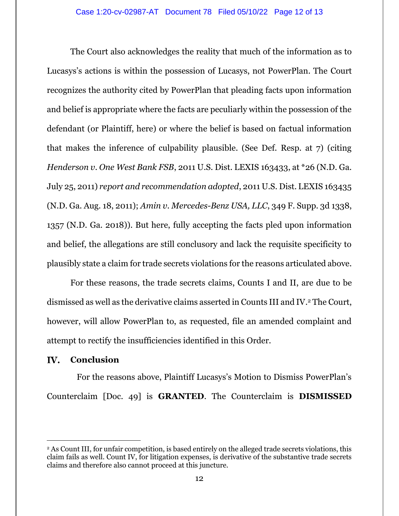The Court also acknowledges the reality that much of the information as to Lucasys's actions is within the possession of Lucasys, not PowerPlan. The Court recognizes the authority cited by PowerPlan that pleading facts upon information and belief is appropriate where the facts are peculiarly within the possession of the defendant (or Plaintiff, here) or where the belief is based on factual information that makes the inference of culpability plausible. (See Def. Resp. at 7) (citing *Henderson v. One West Bank FSB*, 2011 U.S. Dist. LEXIS 163433, at \*26 (N.D. Ga. July 25, 2011) *report and recommendation adopted*, 2011 U.S. Dist. LEXIS 163435 (N.D. Ga. Aug. 18, 2011); *Amin v. Mercedes-Benz USA, LLC*, 349 F. Supp. 3d 1338, 1357 (N.D. Ga. 2018)). But here, fully accepting the facts pled upon information and belief, the allegations are still conclusory and lack the requisite specificity to plausibly state a claim for trade secrets violations for the reasons articulated above.

For these reasons, the trade secrets claims, Counts I and II, are due to be dismissed as well as the derivative claims asserted in Counts III and IV. <sup>2</sup> The Court, however, will allow PowerPlan to, as requested, file an amended complaint and attempt to rectify the insufficiencies identified in this Order.

#### IV. **Conclusion**

For the reasons above, Plaintiff Lucasys's Motion to Dismiss PowerPlan's Counterclaim [Doc. 49] is **GRANTED**. The Counterclaim is **DISMISSED** 

<sup>2</sup> As Count III, for unfair competition, is based entirely on the alleged trade secrets violations, this claim fails as well. Count IV, for litigation expenses, is derivative of the substantive trade secrets claims and therefore also cannot proceed at this juncture.